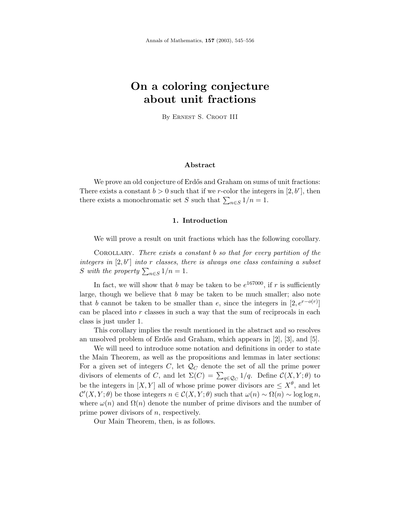# **On a coloring conjecture about unit fractions**

By Ernest S. Croot III

## **Abstract**

We prove an old conjecture of Erdős and Graham on sums of unit fractions: There exists a constant  $b > 0$  such that if we *r*-color the integers in [2, b<sup>r</sup>], then there exists a monochromatic set *S* such that  $\sum_{n\in S} 1/n = 1$ .

#### **1. Introduction**

We will prove a result on unit fractions which has the following corollary.

Corollary. There exists a constant *b* so that for every partition of the integers in  $[2, b<sup>r</sup>]$  into *r* classes, there is always one class containing a subset S with the property  $\sum_{n\in S} 1/n = 1$ .

In fact, we will show that  $b$  may be taken to be  $e^{167000}$ , if  $r$  is sufficiently large, though we believe that *b* may be taken to be much smaller; also note that *b* cannot be taken to be smaller than *e*, since the integers in  $[2, e^{r-o(r)}]$ can be placed into *r* classes in such a way that the sum of reciprocals in each class is just under 1.

This corollary implies the result mentioned in the abstract and so resolves an unsolved problem of Erdős and Graham, which appears in [2], [3], and [5].

We will need to introduce some notation and definitions in order to state the Main Theorem, as well as the propositions and lemmas in later sections: For a given set of integers  $C$ , let  $\mathcal{Q}_C$  denote the set of all the prime power divisors of elements of *C*, and let  $\Sigma(C) = \sum_{q \in \mathcal{Q}_C} 1/q$ . Define  $\mathcal{C}(X, Y; \theta)$  to be the integers in  $[X, Y]$  all of whose prime power divisors are  $\leq X^{\theta}$ , and let  $\mathcal{C}'(X, Y; \theta)$  be those integers  $n \in \mathcal{C}(X, Y; \theta)$  such that  $\omega(n) \sim \Omega(n) \sim \log \log n$ , where  $\omega(n)$  and  $\Omega(n)$  denote the number of prime divisors and the number of prime power divisors of *n*, respectively.

Our Main Theorem, then, is as follows.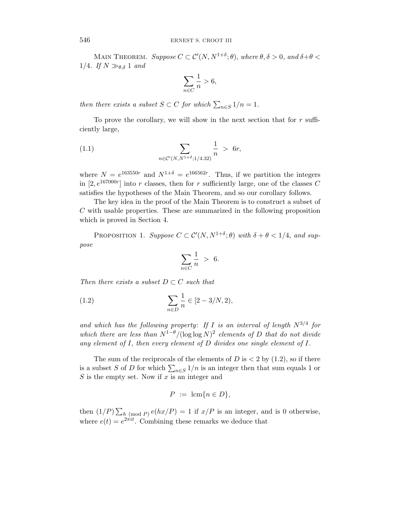MAIN THEOREM. Suppose  $C \subset \mathcal{C}'(N, N^{1+\delta}; \theta)$ , where  $\theta, \delta > 0$ , and  $\delta + \theta < \theta$ 1/4. If  $N \gg_{\theta,\delta} 1$  and

$$
\sum_{n \in C} \frac{1}{n} > 6,
$$

then there exists a subset  $S \subset C$  for which  $\sum_{n \in S} 1/n = 1$ .

To prove the corollary, we will show in the next section that for *r* sufficiently large,

(1.1) 
$$
\sum_{n \in \mathcal{C}'(N, N^{1+\delta}; 1/4.32)} \frac{1}{n} > 6r,
$$

where  $N = e^{163550r}$  and  $N^{1+\delta} = e^{166562r}$ . Thus, if we partition the integers in  $[2, e^{167000r}]$  into *r* classes, then for *r* sufficiently large, one of the classes *C* satisfies the hypotheses of the Main Theorem, and so our corollary follows.

The key idea in the proof of the Main Theorem is to construct a subset of *C* with usable properties. These are summarized in the following proposition which is proved in Section 4.

PROPOSITION 1. Suppose  $C \subset \mathcal{C}'(N, N^{1+\delta}; \theta)$  with  $\delta + \theta < 1/4$ , and suppose

$$
\sum_{n \in C} \frac{1}{n} > 6.
$$

Then there exists a subset  $D \subset C$  such that

(1.2) 
$$
\sum_{n \in D} \frac{1}{n} \in [2 - 3/N, 2),
$$

and which has the following property: If  $I$  is an interval of length  $N^{3/4}$  for which there are less than  $N^{1-\theta}/(\log \log N)^2$  elements of *D* that do not divide any element of *I*, then every element of *D* divides one single element of *I*.

The sum of the reciprocals of the elements of  $D$  is  $\lt 2$  by  $(1.2)$ , so if there is a subset *S* of *D* for which  $\sum_{n\in S} 1/n$  is an integer then that sum equals 1 or *S* is the empty set. Now if *x* is an integer and

$$
P := \operatorname{lcm}\{n \in D\},\
$$

then  $(1/P) \sum_{h \pmod{P}} e(hx/P) = 1$  if  $x/P$  is an integer, and is 0 otherwise, where  $e(t) = e^{2\pi i t}$ . Combining these remarks we deduce that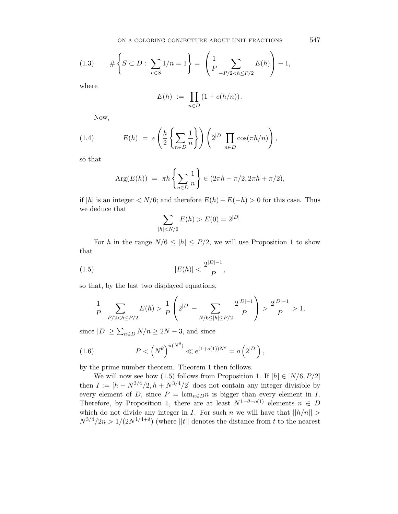$$
(1.3) \qquad \# \left\{ S \subset D : \sum_{n \in S} 1/n = 1 \right\} = \left( \frac{1}{P} \sum_{-P/2 < h \le P/2} E(h) \right) - 1,
$$

where

$$
E(h) := \prod_{n \in D} \left( 1 + e(h/n) \right).
$$

Now,

(1.4) 
$$
E(h) = e\left(\frac{h}{2}\left\{\sum_{n\in D}\frac{1}{n}\right\}\right)\left(2^{|D|}\prod_{n\in D}\cos(\pi h/n)\right),
$$

so that

$$
Arg(E(h)) = \pi h \left\{ \sum_{n \in D} \frac{1}{n} \right\} \in (2\pi h - \pi/2, 2\pi h + \pi/2),
$$

if  $|h|$  is an integer  $\langle N/6;$  and therefore  $E(h) + E(-h) > 0$  for this case. Thus we deduce that

$$
\sum_{|h| < N/6} E(h) > E(0) = 2^{|D|}.
$$

For *h* in the range  $N/6 \leq |h| \leq P/2$ , we will use Proposition 1 to show that

(1.5) 
$$
|E(h)| < \frac{2^{|D|-1}}{P},
$$

so that, by the last two displayed equations,

$$
\frac{1}{P} \sum_{-P/2 < h \le P/2} E(h) > \frac{1}{P} \left( 2^{|D|} - \sum_{N/6 \le |h| \le P/2} \frac{2^{|D|-1}}{P} \right) > \frac{2^{|D|-1}}{P} > 1,
$$

since  $|D| \ge \sum_{n \in D} N/n \ge 2N - 3$ , and since

(1.6) 
$$
P < (N^{\theta})^{\pi(N^{\theta})} \ll e^{(1+o(1))N^{\theta}} = o(2^{|D|}),
$$

by the prime number theorem. Theorem 1 then follows.

We will now see how (1.5) follows from Proposition 1. If  $|h| \in [N/6, P/2]$ then  $I := [h - N^{3/4}/2, h + N^{3/4}/2]$  does not contain any integer divisible by every element of *D*, since  $P = \text{lcm}_{n \in D} n$  is bigger than every element in *I*. Therefore, by Proposition 1, there are at least  $N^{1-\theta-o(1)}$  elements  $n \in D$ which do not divide any integer in *I*. For such *n* we will have that  $||h/n|| >$  $N^{3/4}/2n > 1/(2N^{1/4+\delta})$  (where ||t|| denotes the distance from t to the nearest

547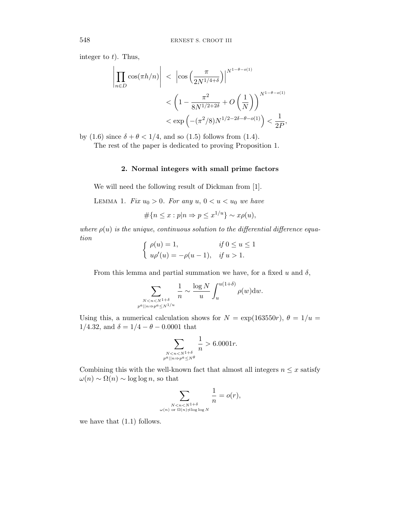integer to *t*). Thus,

$$
\left| \prod_{n \in D} \cos(\pi h/n) \right| < \left| \cos\left(\frac{\pi}{2N^{1/4+\delta}}\right) \right|^{N^{1-\theta-o(1)}} \times \left(1 - \frac{\pi^2}{8N^{1/2+2\delta}} + O\left(\frac{1}{N}\right)\right)^{N^{1-\theta-o(1)}} \times \exp\left(-(\pi^2/8)N^{1/2-2\delta-\theta-o(1)}\right) < \frac{1}{2P},
$$

by (1.6) since  $\delta + \theta < 1/4$ , and so (1.5) follows from (1.4).

The rest of the paper is dedicated to proving Proposition 1.

# **2. Normal integers with small prime factors**

We will need the following result of Dickman from [1].

LEMMA 1. Fix  $u_0 > 0$ . For any  $u, 0 < u < u_0$  we have

$$
\#\{n \le x : p|n \Rightarrow p \le x^{1/u}\} \sim x\rho(u),
$$

where  $\rho(u)$  is the unique, continuous solution to the differential difference equation

$$
\begin{cases}\n\rho(u) = 1, & \text{if } 0 \le u \le 1 \\
u\rho'(u) = -\rho(u-1), & \text{if } u > 1.\n\end{cases}
$$

From this lemma and partial summation we have, for a fixed  $u$  and  $\delta$ ,

$$
\sum_{\substack{N < n < N^{1+\delta} \\ p^a \mid n \Rightarrow p^a \le N^{1/u}}} \frac{1}{n} \sim \frac{\log N}{u} \int_u^{u(1+\delta)} \rho(w) \mathrm{d}w.
$$

Using this, a numerical calculation shows for  $N = \exp(163550r)$ ,  $\theta = 1/u =$ 1/4.32, and  $\delta = 1/4 - \theta - 0.0001$  that

$$
\sum_{\substack{N < n < N^{1+\delta}\\ p^a \mid |n \Rightarrow p^a \le N^\theta}} \frac{1}{n} > 6.0001r.
$$

Combining this with the well-known fact that almost all integers  $n \leq x$  satisfy  $\omega(n)$  ∼  $\Omega(n)$  ∼ log log *n*, so that

$$
\sum_{\substack{N < n < N^{1+\delta} \\ \omega(n) \text{ or } \Omega(n) \neq \log \log N}} \frac{1}{n} = o(r),
$$

we have that (1.1) follows.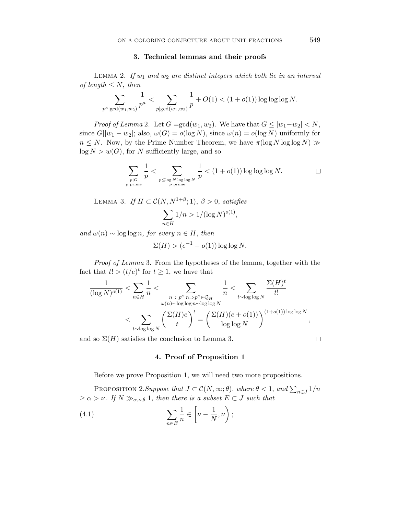#### **3. Technical lemmas and their proofs**

LEMMA 2. If  $w_1$  and  $w_2$  are distinct integers which both lie in an interval of length  $\leq N$ , then

$$
\sum_{p^a|\gcd(w_1,w_2)}\frac{1}{p^a} < \sum_{p|\gcd(w_1,w_2)}\frac{1}{p} + O(1) < (1+o(1))\log\log\log N.
$$

*Proof of Lemma 2.* Let  $G = \gcd(w_1, w_2)$ . We have that  $G \leq |w_1 - w_2| < N$ , since  $G||w_1 - w_2|$ ; also,  $\omega(G) = o(\log N)$ , since  $\omega(n) = o(\log N)$  uniformly for  $n \leq N$ . Now, by the Prime Number Theorem, we have  $\pi(\log N \log \log N)$  $log N > w(G)$ , for *N* sufficiently large, and so

$$
\sum_{\substack{p \mid G \\ p \text{ prime}}} \frac{1}{p} < \sum_{\substack{p \le \log N \log \log N \\ p \text{ prime}}} \frac{1}{p} < (1 + o(1)) \log \log \log N. \qquad \Box
$$

LEMMA 3. If  $H \subset \mathcal{C}(N, N^{1+\beta}; 1), \beta > 0$ , satisfies

$$
\sum_{n \in H} 1/n > 1/(\log N)^{o(1)},
$$

and  $\omega(n) \sim \log \log n$ , for every  $n \in H$ , then

$$
\Sigma(H) > (e^{-1} - o(1)) \log \log N.
$$

Proof of Lemma 3. From the hypotheses of the lemma, together with the fact that  $t! > (t/e)^t$  for  $t \geq 1$ , we have that

$$
\frac{1}{(\log N)^{o(1)}} < \sum_{n \in H} \frac{1}{n} < \sum_{\substack{n \ : \ p^a | n \Rightarrow p^a \in \mathcal{Q}_H \\ \omega(n) \sim \log \log n \sim \log \log N}} \frac{1}{n} < \sum_{t \sim \log \log N} \frac{\Sigma(H)^t}{t!} \\ < \sum_{t \sim \log \log N} \left(\frac{\Sigma(H)e}{t}\right)^t = \left(\frac{\Sigma(H)(e + o(1))}{\log \log N}\right)^{(1 + o(1)) \log \log N}
$$

and so  $\Sigma(H)$  satisfies the conclusion to Lemma 3.

 $\Box$ 

*,*

# **4. Proof of Proposition 1**

Before we prove Proposition 1, we will need two more propositions.

PROPOSITION 2.Suppose that  $J \subset C(N, \infty; \theta)$ , where  $\theta < 1$ , and  $\sum_{n \in J} 1/n$  $\geq \alpha > \nu$ . If  $N \gg_{\alpha,\nu,\theta} 1$ , then there is a subset  $E \subset J$  such that

(4.1) 
$$
\sum_{n \in E} \frac{1}{n} \in \left[ \nu - \frac{1}{N}, \nu \right);
$$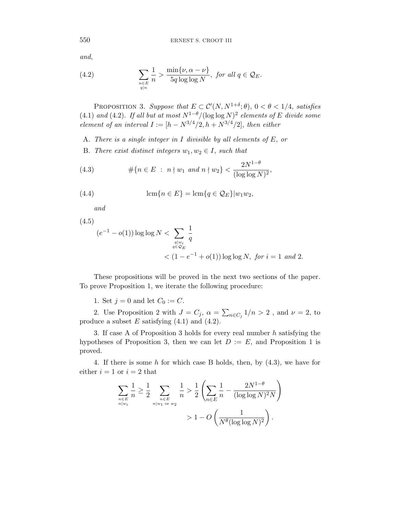550 ERNEST S. CROOT III

and,

(4.2) 
$$
\sum_{\substack{n \in E \\ q|n}} \frac{1}{n} > \frac{\min\{\nu, \alpha - \nu\}}{5q \log \log N}, \text{ for all } q \in \mathcal{Q}_E.
$$

PROPOSITION 3. Suppose that  $E \subset \mathcal{C}'(N, N^{1+\delta}; \theta)$ ,  $0 < \theta < 1/4$ , satisfies (4.1) and (4.2). If all but at most  $N^{1-\theta}/(\log \log N)^2$  elements of *E* divide some element of an interval  $I := [h - N^{3/4}/2, h + N^{3/4}/2]$ , then either

- A. There is a single integer in *I* divisible by all elements of *E*, or
- B. There exist distinct integers  $w_1, w_2 \in I$ , such that

(4.3) 
$$
\#\{n \in E \; : \; n \nmid w_1 \text{ and } n \nmid w_2\} < \frac{2N^{1-\theta}}{(\log \log N)^2},
$$

(4.4) 
$$
\operatorname{lcm}\{n \in E\} = \operatorname{lcm}\{q \in \mathcal{Q}_E\}|w_1w_2,
$$

and

(4.5)

$$
(e^{-1} - o(1)) \log \log N < \sum_{\substack{q|w_i \\ q \in \mathcal{Q}_E}} \frac{1}{q}
$$
\n
$$
< (1 - e^{-1} + o(1)) \log \log N, \text{ for } i = 1 \text{ and } 2.
$$

These propositions will be proved in the next two sections of the paper. To prove Proposition 1, we iterate the following procedure:

1. Set  $j = 0$  and let  $C_0 := C$ .

2. Use Proposition 2 with  $J = C_j$ ,  $\alpha = \sum_{n \in C_j} 1/n > 2$ , and  $\nu = 2$ , to produce a subset *E* satisfying (4.1) and (4.2).

3. If case A of Proposition 3 holds for every real number *h* satisfying the hypotheses of Proposition 3, then we can let  $D := E$ , and Proposition 1 is proved.

4. If there is some *h* for which case B holds, then, by (4.3), we have for either  $i = 1$  or  $i = 2$  that

$$
\sum_{\substack{n \in E \\ n|w_i}} \frac{1}{n} \ge \frac{1}{2} \sum_{\substack{n \in E \\ n|w_1 \text{ or } w_2}} \frac{1}{n} > \frac{1}{2} \left( \sum_{n \in E} \frac{1}{n} - \frac{2N^{1-\theta}}{(\log \log N)^2 N} \right) > 1 - O\left( \frac{1}{N^{\theta} (\log \log N)^2} \right).
$$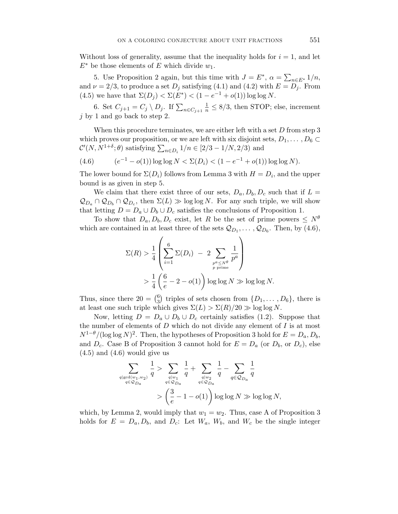Without loss of generality, assume that the inequality holds for  $i = 1$ , and let *E*<sup>∗</sup> be those elements of *E* which divide *w*1.

5. Use Proposition 2 again, but this time with  $J = E^*$ ,  $\alpha = \sum_{n \in E^*} 1/n$ , and  $\nu = 2/3$ , to produce a set  $D_j$  satisfying (4.1) and (4.2) with  $E = D_j$ . From (4.5) we have that  $\Sigma(D_j) < \Sigma(E^*) < (1 - e^{-1} + o(1)) \log \log N$ .

6. Set  $C_{j+1} = C_j \setminus D_j$ . If  $\sum_{n \in C_{j+1}} \frac{1}{n} \leq 8/3$ , then STOP; else, increment *j* by 1 and go back to step 2.

When this procedure terminates, we are either left with a set *D* from step 3 which proves our proposition, or we are left with six disjoint sets,  $D_1, \ldots, D_6 \subset$  $\mathcal{C}'(N, N^{1+\delta}; \theta)$  satisfying  $\sum_{n \in D_i} 1/n \in [2/3 - 1/N, 2/3)$  and

(4.6) 
$$
(e^{-1} - o(1)) \log \log N < \Sigma(D_i) < (1 - e^{-1} + o(1)) \log \log N).
$$

The lower bound for  $\Sigma(D_i)$  follows from Lemma 3 with  $H = D_i$ , and the upper bound is as given in step 5.

We claim that there exist three of our sets,  $D_a$ ,  $D_b$ ,  $D_c$  such that if  $L =$  $\mathcal{Q}_{D_a} \cap \mathcal{Q}_{D_b} \cap \mathcal{Q}_{D_c}$ , then  $\Sigma(L) \gg \log \log N$ . For any such triple, we will show that letting  $D = D_a \cup D_b \cup D_c$  satisfies the conclusions of Proposition 1.

To show that  $D_a, D_b, D_c$  exist, let *R* be the set of prime powers  $\leq N^{\theta}$ which are contained in at least three of the sets  $\mathcal{Q}_{D_1}, \ldots, \mathcal{Q}_{D_6}$ . Then, by (4.6),

$$
\Sigma(R) > \frac{1}{4} \left( \sum_{i=1}^{6} \Sigma(D_i) - 2 \sum_{\substack{p^a \le N^{\theta} \\ p \text{ prime}}} \frac{1}{p^a} \right)
$$
  
> 
$$
\frac{1}{4} \left( \frac{6}{e} - 2 - o(1) \right) \log \log N \gg \log \log N.
$$

Thus, since there  $20 = \binom{6}{3}$  triples of sets chosen from  $\{D_1, \ldots, D_6\}$ , there is at least one such triple which gives  $\Sigma(L) > \Sigma(R)/20 \gg \log \log N$ .

Now, letting  $D = D_a \cup D_b \cup D_c$  certainly satisfies (1.2). Suppose that the number of elements of *D* which do not divide any element of *I* is at most  $N^{1-\theta}/(\log \log N)^2$ . Then, the hypotheses of Proposition 3 hold for  $E = D_a, D_b$ , and  $D_c$ . Case B of Proposition 3 cannot hold for  $E = D_a$  (or  $D_b$ , or  $D_c$ ), else  $(4.5)$  and  $(4.6)$  would give us

$$
\sum_{\substack{q|\gcd(w_1, w_2)\\ q \in \mathcal{Q}_{D_a}}} \frac{1}{q} > \sum_{\substack{q|w_1\\ q \in \mathcal{Q}_{D_a}}} \frac{1}{q} + \sum_{\substack{q|w_2\\ q \in \mathcal{Q}_{D_a}}} \frac{1}{q} - \sum_{q \in \mathcal{Q}_{D_a}} \frac{1}{q}
$$
\n
$$
> \left(\frac{3}{e} - 1 - o(1)\right) \log \log N \gg \log \log N,
$$

which, by Lemma 2, would imply that  $w_1 = w_2$ . Thus, case A of Proposition 3 holds for  $E = D_a, D_b$ , and  $D_c$ : Let  $W_a$ ,  $W_b$ , and  $W_c$  be the single integer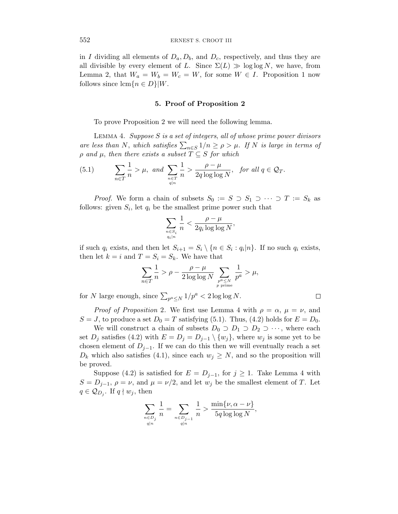in *I* dividing all elements of  $D_a, D_b$ , and  $D_c$ , respectively, and thus they are all divisible by every element of *L*. Since  $\Sigma(L) \gg \log \log N$ , we have, from Lemma 2, that  $W_a = W_b = W_c = W$ , for some  $W \in I$ . Proposition 1 now follows since  $\text{lcm}\{n \in D\}|W$ .

#### **5. Proof of Proposition 2**

To prove Proposition 2 we will need the following lemma.

Lemma 4. Suppose *S* is a set of integers, all of whose prime power divisors are less than *N*, which satisfies  $\sum_{n\in S} 1/n \ge \rho > \mu$ . If *N* is large in terms of  *and*  $*µ*$ *, then there exists a subset*  $*T* ⊆ *S*$  *for which* 

(5.1) 
$$
\sum_{n \in T} \frac{1}{n} > \mu, \text{ and } \sum_{\substack{n \in T \\ q|n}} \frac{1}{n} > \frac{\rho - \mu}{2q \log \log N}, \text{ for all } q \in \mathcal{Q}_T.
$$

*Proof.* We form a chain of subsets  $S_0 := S \supset S_1 \supset \cdots \supset T := S_k$  as follows: given  $S_i$ , let  $q_i$  be the smallest prime power such that

$$
\sum_{\substack{n \in S_i \\ q_i|n}} \frac{1}{n} < \frac{\rho - \mu}{2q_i \log \log N},
$$

if such  $q_i$  exists, and then let  $S_{i+1} = S_i \setminus \{n \in S_i : q_i|n\}$ . If no such  $q_i$  exists, then let  $k = i$  and  $T = S_i = S_k$ . We have that

$$
\sum_{n \in T} \frac{1}{n} > \rho - \frac{\rho - \mu}{2 \log \log N} \sum_{\substack{p^a \le N \\ p \text{ prime}}} \frac{1}{p^a} > \mu,
$$

 $\Box$ 

for *N* large enough, since  $\sum_{p^a \le N} 1/p^a < 2 \log \log N$ .

*Proof of Proposition* 2. We first use Lemma 4 with  $\rho = \alpha$ ,  $\mu = \nu$ , and  $S = J$ , to produce a set  $D_0 = T$  satisfying (5.1). Thus, (4.2) holds for  $E = D_0$ .

We will construct a chain of subsets  $D_0 \supset D_1 \supset D_2 \supset \cdots$ , where each set *D<sub>j</sub>* satisfies (4.2) with  $E = D_j = D_{j-1} \setminus \{w_j\}$ , where  $w_j$  is some yet to be chosen element of  $D_{j-1}$ . If we can do this then we will eventually reach a set  $D_k$  which also satisfies (4.1), since each  $w_j \geq N$ , and so the proposition will be proved.

Suppose (4.2) is satisfied for  $E = D_{j-1}$ , for  $j \ge 1$ . Take Lemma 4 with  $S = D_{j-1}, \ \rho = \nu$ , and  $\mu = \nu/2$ , and let  $w_j$  be the smallest element of *T*. Let  $q \in \mathcal{Q}_{D_i}$ . If  $q \nmid w_j$ , then

$$
\sum_{\substack{n\in D_j\\ q|n}}\frac{1}{n}=\sum_{\substack{n\in D_{j-1}\\ q|n}}\frac{1}{n}>\frac{\min\{\nu,\alpha-\nu\}}{5q\log\log N},
$$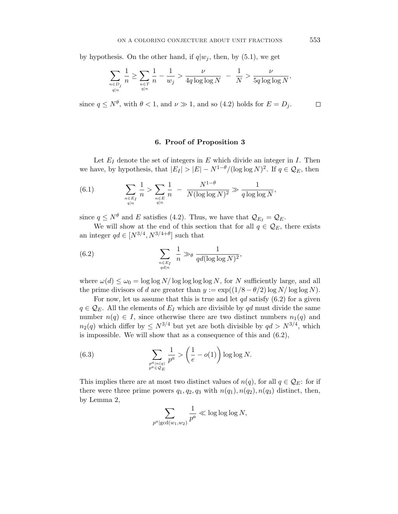by hypothesis. On the other hand, if  $q|w_j$ , then, by (5.1), we get

$$
\sum_{\substack{n\in D_j\\ q|n}}\frac{1}{n}\geq \sum_{\substack{n\in T\\ q|n}}\frac{1}{n}-\frac{1}{w_j}>\frac{\nu}{4q\log\log N}-\frac{1}{N}>\frac{\nu}{5q\log\log N},
$$

since  $q \leq N^{\theta}$ , with  $\theta < 1$ , and  $\nu \gg 1$ , and so (4.2) holds for  $E = D_j$ .  $\Box$ 

### **6. Proof of Proposition 3**

Let  $E_I$  denote the set of integers in  $E$  which divide an integer in  $I$ . Then we have, by hypothesis, that  $|E_I| > |E| - N^{1-\theta} / (\log \log N)^2$ . If  $q \in \mathcal{Q}_E$ , then

(6.1) 
$$
\sum_{\substack{n \in E_I \\ q|n}} \frac{1}{n} > \sum_{\substack{n \in E \\ q|n}} \frac{1}{n} - \frac{N^{1-\theta}}{N(\log \log N)^2} \gg \frac{1}{q \log \log N},
$$

since  $q \le N^{\theta}$  and *E* satisfies (4.2). Thus, we have that  $\mathcal{Q}_{E_I} = \mathcal{Q}_E$ .

We will show at the end of this section that for all  $q \in \mathcal{Q}_E$ , there exists an integer  $qd\in [N^{3/4},N^{3/4+\theta}]$  such that

(6.2) 
$$
\sum_{\substack{n \in E_I \\ qd|n}} \frac{1}{n} \gg_{\theta} \frac{1}{qd(\log \log N)^2},
$$

where  $\omega(d) \leq \omega_0 = \log \log N / \log \log \log N$ , for *N* sufficiently large, and all the prime divisors of *d* are greater than  $y := \exp((1/8 - \theta/2) \log N / \log \log N)$ .

For now, let us assume that this is true and let *qd* satisfy (6.2) for a given  $q \in \mathcal{Q}_E$ . All the elements of  $E_I$  which are divisible by *qd* must divide the same number  $n(q) \in I$ , since otherwise there are two distinct numbers  $n_1(q)$  and  $n_2(q)$  which differ by  $\leq N^{3/4}$  but yet are both divisible by  $qd > N^{3/4}$ , which is impossible. We will show that as a consequence of this and (6.2),

(6.3) 
$$
\sum_{\substack{p^a|n(q) \\ p^a \in \mathcal{Q}_E}} \frac{1}{p^a} > \left(\frac{1}{e} - o(1)\right) \log \log N.
$$

This implies there are at most two distinct values of  $n(q)$ , for all  $q \in \mathcal{Q}_E$ : for if there were three prime powers  $q_1, q_2, q_3$  with  $n(q_1), n(q_2), n(q_3)$  distinct, then, by Lemma 2,

$$
\sum_{p^a|\gcd(w_1,w_2)}\frac{1}{p^a}\ll \log\log\log N,
$$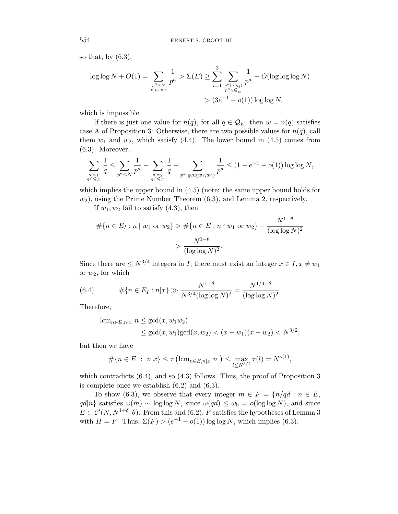so that, by  $(6.3)$ ,

$$
\log \log N + O(1) = \sum_{\substack{p^a \le N \\ p \text{ prime}}} \frac{1}{p^a} > \Sigma(E) \ge \sum_{i=1}^3 \sum_{\substack{p^a | n(q_i) \\ p^a \in \mathcal{Q}_E}} \frac{1}{p^a} + O(\log \log \log N)
$$
  
>  $(3e^{-1} - o(1)) \log \log N$ ,

which is impossible.

If there is just one value for  $n(q)$ , for all  $q \in \mathcal{Q}_E$ , then  $w = n(q)$  satisfies case A of Proposition 3: Otherwise, there are two possible values for  $n(q)$ , call them  $w_1$  and  $w_2$ , which satisfy  $(4.4)$ . The lower bound in  $(4.5)$  comes from (6.3). Moreover,

$$
\sum_{\substack{q|w_1\\ q\in \mathcal{Q}_E}}\frac{1}{q}\leq \sum_{p^a\leq N}\frac{1}{p^a}-\sum_{\substack{q|w_2\\ q\in \mathcal{Q}_E}}\frac{1}{q}+\sum_{p^a|\gcd(w_1,w_2)}\frac{1}{p^a}\leq (1-e^{-1}+o(1))\log\log N,
$$

which implies the upper bound in (4.5) (note: the same upper bound holds for *w*2), using the Prime Number Theorem (6.3), and Lemma 2, respectively.

If  $w_1, w_2$  fail to satisfy  $(4.3)$ , then

$$
\# \{ n \in E_I : n \nmid w_1 \text{ or } w_2 \} > \# \{ n \in E : n \nmid w_1 \text{ or } w_2 \} - \frac{N^{1-\theta}}{(\log \log N)^2} > \frac{N^{1-\theta}}{(\log \log N)^2}.
$$

Since there are  $\leq N^{3/4}$  integers in *I*, there must exist an integer  $x \in I, x \neq w_1$ or *w*2, for which

(6.4) 
$$
\# \{ n \in E_I : n | x \} \gg \frac{N^{1-\theta}}{N^{3/4} (\log \log N)^2} = \frac{N^{1/4-\theta}}{(\log \log N)^2}.
$$

Therefore,

$$
\begin{aligned} \operatorname{lcm}_{n \in E, n|x} \ n &\leq \gcd(x, w_1 w_2) \\ &\leq \gcd(x, w_1) \gcd(x, w_2) < (x - w_1)(x - w_2) < N^{3/2}; \end{aligned}
$$

but then we have

$$
\#\{n \in E \; : \; n|x\} \leq \tau \left(\text{lcm}_{n \in E, n|x} \; n \; \right) \leq \max_{l \leq N^{3/2}} \tau(l) = N^{o(1)},
$$

which contradicts  $(6.4)$ , and so  $(4.3)$  follows. Thus, the proof of Proposition 3 is complete once we establish (6.2) and (6.3).

To show (6.3), we observe that every integer  $m \in F = \{n/qd : n \in E,$ *qd*|*n*} satisfies  $\omega(m)$  ∼ log log *N*, since  $\omega(qd)$  ≤  $\omega_0 = o(\log \log N)$ , and since  $E \subset \mathcal{C}'(N, N^{1+\delta}; \theta)$ . From this and (6.2), *F* satisfies the hypotheses of Lemma 3 with  $H = F$ . Thus,  $\Sigma(F) > (e^{-1} - o(1)) \log \log N$ , which implies (6.3).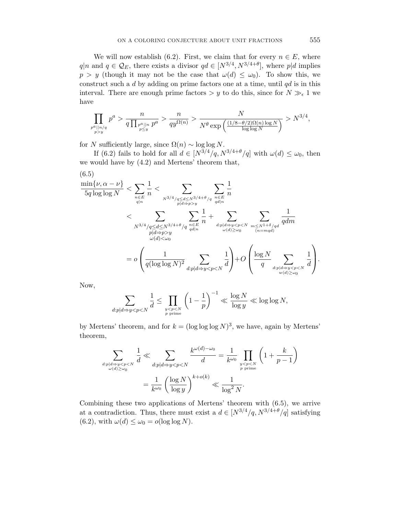We will now establish (6.2). First, we claim that for every  $n \in E$ , where *q*|*n* and *q* ∈  $\mathcal{Q}_E$ , there exists a divisor *qd* ∈ [ $N^{3/4}, N^{3/4+\theta}$ ], where *p*|*d* implies *p* > *y* (though it may not be the case that  $\omega(d) \leq \omega_0$ ). To show this, we construct such a *d* by adding on prime factors one at a time, until *qd* is in this interval. There are enough prime factors  $> y$  to do this, since for  $N \gg_{\epsilon} 1$  we have

$$
\prod_{p^a||n/q \atop p>y} p^a > \frac{n}{q\prod_{p^a||n} p^a} > \frac{n}{q y^{\Omega(n)}} > \frac{N}{N^\theta \exp\left(\frac{(1/8-\theta/2)\Omega(n)\log N}{\log\log N}\right)} > N^{3/4},
$$

for *N* sufficiently large, since  $\Omega(n) \sim \log \log N$ .

If (6.2) fails to hold for all  $d \in [N^{3/4}/q, N^{3/4+\theta}/q]$  with  $\omega(d) \leq \omega_0$ , then we would have by (4.2) and Mertens' theorem that,

$$
(6.5)
$$
\n
$$
\frac{\min\{\nu, \alpha - \nu\}}{5q \log \log N} < \sum_{n \in E} \frac{1}{n} < \sum_{N^{3/4}/q \le d \le N^{3/4+\theta}/q} \sum_{\substack{n \in E \\ p | d \Rightarrow p > y}} \frac{1}{n} + \sum_{\substack{d: p | d \Rightarrow y > y \\ d | d \Rightarrow p > y}} \sum_{\substack{d: p | d \Rightarrow y < p < N \\ p | d \Rightarrow p > y}} \frac{1}{n} + \sum_{\substack{d: p | d \Rightarrow y < p < N \\ \omega(d) \ge \omega_0}} \sum_{\substack{m \le N^{1+\delta}/qd \\ (n = mq)}} \frac{1}{q dm} + \sum_{\substack{d: p | d \Rightarrow y < p < N \\ \omega(d) \ge \omega_0}} \sum_{\substack{m \le N^{1+\delta}/qd \\ (n = mq)}} \frac{1}{(n - mq)} + O\left(\frac{\log N}{q} \sum_{\substack{d: p | d \Rightarrow y < p < N \\ \omega(d) \ge \omega_0}} \frac{1}{d}\right).
$$

Now,

$$
\sum_{d: p|d \Rightarrow y < p < N} \frac{1}{d} \le \prod_{\substack{y < p < N \\ p \text{ prime}}} \left(1 - \frac{1}{p}\right)^{-1} \ll \frac{\log N}{\log y} \ll \log \log N,
$$

by Mertens' theorem, and for  $k = (\log \log \log N)^3$ , we have, again by Mertens' theorem,

$$
\sum_{\substack{d:p \mid d \Rightarrow y < p < N \\ \omega(d) \ge \omega_0}} \frac{1}{d} \ll \sum_{\substack{d:p \mid d \Rightarrow y < p < N \\ \omega_0 d \ge \omega_0}} \frac{k^{\omega(d) - \omega_0}}{d} = \frac{1}{k^{\omega_0}} \prod_{\substack{y < p < N \\ p \text{ prime}}} \left(1 + \frac{k}{p - 1}\right)
$$
\n
$$
= \frac{1}{k^{\omega_0}} \left(\frac{\log N}{\log y}\right)^{k + o(k)} \ll \frac{1}{\log^2 N}.
$$

Combining these two applications of Mertens' theorem with (6.5), we arrive at a contradiction. Thus, there must exist a  $d \in [N^{3/4}/q, N^{3/4+\theta}/q]$  satisfying  $(6.2)$ , with  $\omega(d) \leq \omega_0 = o(\log \log N)$ .